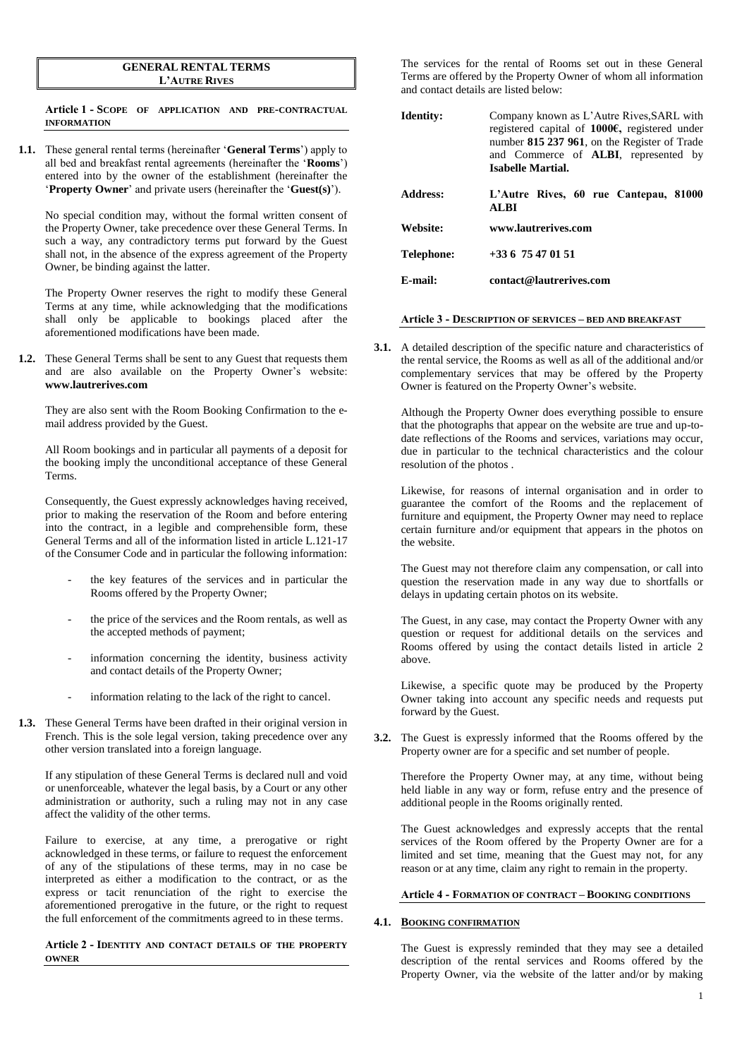#### **GENERAL RENTAL TERMS L'AUTRE RIVES**

**Article 1 - SCOPE OF APPLICATION AND PRE-CONTRACTUAL INFORMATION**

**1.1.** These general rental terms (hereinafter '**General Terms**') apply to all bed and breakfast rental agreements (hereinafter the '**Rooms**') entered into by the owner of the establishment (hereinafter the '**Property Owner**' and private users (hereinafter the '**Guest(s)**').

No special condition may, without the formal written consent of the Property Owner, take precedence over these General Terms. In such a way, any contradictory terms put forward by the Guest shall not, in the absence of the express agreement of the Property Owner, be binding against the latter.

The Property Owner reserves the right to modify these General Terms at any time, while acknowledging that the modifications shall only be applicable to bookings placed after the aforementioned modifications have been made.

**1.2.** These General Terms shall be sent to any Guest that requests them and are also available on the Property Owner's website: **www.lautrerives.com**

They are also sent with the Room Booking Confirmation to the email address provided by the Guest.

All Room bookings and in particular all payments of a deposit for the booking imply the unconditional acceptance of these General Terms.

Consequently, the Guest expressly acknowledges having received, prior to making the reservation of the Room and before entering into the contract, in a legible and comprehensible form, these General Terms and all of the information listed in article L.121-17 of the Consumer Code and in particular the following information:

- the key features of the services and in particular the Rooms offered by the Property Owner;
- the price of the services and the Room rentals, as well as the accepted methods of payment;
- information concerning the identity, business activity and contact details of the Property Owner;
- information relating to the lack of the right to cancel.
- **1.3.** These General Terms have been drafted in their original version in French. This is the sole legal version, taking precedence over any other version translated into a foreign language.

If any stipulation of these General Terms is declared null and void or unenforceable, whatever the legal basis, by a Court or any other administration or authority, such a ruling may not in any case affect the validity of the other terms.

Failure to exercise, at any time, a prerogative or right acknowledged in these terms, or failure to request the enforcement of any of the stipulations of these terms, may in no case be interpreted as either a modification to the contract, or as the express or tacit renunciation of the right to exercise the aforementioned prerogative in the future, or the right to request the full enforcement of the commitments agreed to in these terms.

#### **Article 2 - IDENTITY AND CONTACT DETAILS OF THE PROPERTY OWNER**

The services for the rental of Rooms set out in these General Terms are offered by the Property Owner of whom all information and contact details are listed below:

| Identity:  | Company known as L'Autre Rives, SARL with<br>registered capital of 1000 $\epsilon$ , registered under<br>number 815 237 961, on the Register of Trade<br>and Commerce of <b>ALBI</b> , represented by<br>Isabelle Martial. |
|------------|----------------------------------------------------------------------------------------------------------------------------------------------------------------------------------------------------------------------------|
| Address:   | L'Autre Rives, 60 rue Cantepau, 81000<br>AL BI                                                                                                                                                                             |
| Website:   | www.lautrerives.com                                                                                                                                                                                                        |
| Telephone: | $+33675470151$                                                                                                                                                                                                             |
| E-mail:    | contact@lautrerives.com                                                                                                                                                                                                    |

#### **Article 3 - DESCRIPTION OF SERVICES – BED AND BREAKFAST**

**3.1.** A detailed description of the specific nature and characteristics of the rental service, the Rooms as well as all of the additional and/or complementary services that may be offered by the Property Owner is featured on the Property Owner's website.

Although the Property Owner does everything possible to ensure that the photographs that appear on the website are true and up-todate reflections of the Rooms and services, variations may occur, due in particular to the technical characteristics and the colour resolution of the photos .

Likewise, for reasons of internal organisation and in order to guarantee the comfort of the Rooms and the replacement of furniture and equipment, the Property Owner may need to replace certain furniture and/or equipment that appears in the photos on the website.

The Guest may not therefore claim any compensation, or call into question the reservation made in any way due to shortfalls or delays in updating certain photos on its website.

The Guest, in any case, may contact the Property Owner with any question or request for additional details on the services and Rooms offered by using the contact details listed in article 2 above.

Likewise, a specific quote may be produced by the Property Owner taking into account any specific needs and requests put forward by the Guest.

**3.2.** The Guest is expressly informed that the Rooms offered by the Property owner are for a specific and set number of people.

Therefore the Property Owner may, at any time, without being held liable in any way or form, refuse entry and the presence of additional people in the Rooms originally rented.

The Guest acknowledges and expressly accepts that the rental services of the Room offered by the Property Owner are for a limited and set time, meaning that the Guest may not, for any reason or at any time, claim any right to remain in the property.

**Article 4 - FORMATION OF CONTRACT – BOOKING CONDITIONS**

#### **4.1. BOOKING CONFIRMATION**

The Guest is expressly reminded that they may see a detailed description of the rental services and Rooms offered by the Property Owner, via the website of the latter and/or by making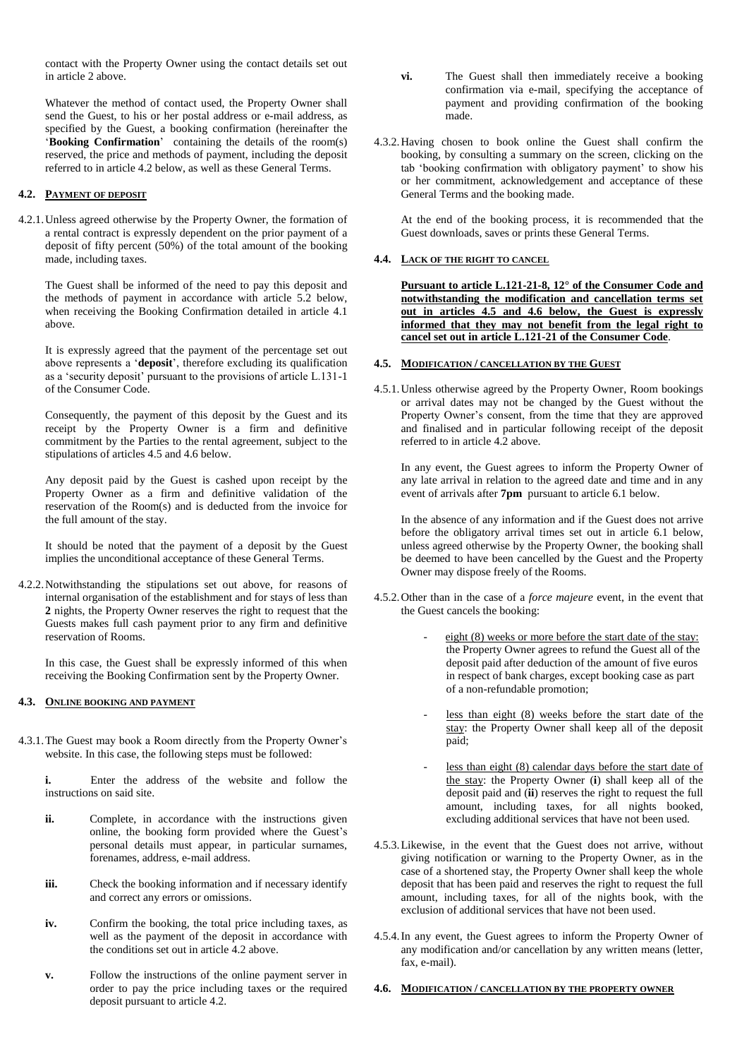contact with the Property Owner using the contact details set out in article 2 above.

Whatever the method of contact used, the Property Owner shall send the Guest, to his or her postal address or e-mail address, as specified by the Guest, a booking confirmation (hereinafter the '**Booking Confirmation**' containing the details of the room(s) reserved, the price and methods of payment, including the deposit referred to in article 4.2 below, as well as these General Terms.

## **4.2. PAYMENT OF DEPOSIT**

4.2.1.Unless agreed otherwise by the Property Owner, the formation of a rental contract is expressly dependent on the prior payment of a deposit of fifty percent (50%) of the total amount of the booking made, including taxes.

The Guest shall be informed of the need to pay this deposit and the methods of payment in accordance with article 5.2 below, when receiving the Booking Confirmation detailed in article 4.1 above.

It is expressly agreed that the payment of the percentage set out above represents a '**deposit**', therefore excluding its qualification as a 'security deposit' pursuant to the provisions of article L.131-1 of the Consumer Code.

Consequently, the payment of this deposit by the Guest and its receipt by the Property Owner is a firm and definitive commitment by the Parties to the rental agreement, subject to the stipulations of articles 4.5 and 4.6 below.

Any deposit paid by the Guest is cashed upon receipt by the Property Owner as a firm and definitive validation of the reservation of the Room(s) and is deducted from the invoice for the full amount of the stay.

It should be noted that the payment of a deposit by the Guest implies the unconditional acceptance of these General Terms.

4.2.2.Notwithstanding the stipulations set out above, for reasons of internal organisation of the establishment and for stays of less than **2** nights, the Property Owner reserves the right to request that the Guests makes full cash payment prior to any firm and definitive reservation of Rooms.

In this case, the Guest shall be expressly informed of this when receiving the Booking Confirmation sent by the Property Owner.

## **4.3. ONLINE BOOKING AND PAYMENT**

4.3.1.The Guest may book a Room directly from the Property Owner's website. In this case, the following steps must be followed:

**i.** Enter the address of the website and follow the instructions on said site.

- **ii.** Complete, in accordance with the instructions given online, the booking form provided where the Guest's personal details must appear, in particular surnames, forenames, address, e-mail address.
- **iii.** Check the booking information and if necessary identify and correct any errors or omissions.
- **iv.** Confirm the booking, the total price including taxes, as well as the payment of the deposit in accordance with the conditions set out in article 4.2 above.
- **v.** Follow the instructions of the online payment server in order to pay the price including taxes or the required deposit pursuant to article 4.2.
- **vi.** The Guest shall then immediately receive a booking confirmation via e-mail, specifying the acceptance of payment and providing confirmation of the booking made.
- 4.3.2.Having chosen to book online the Guest shall confirm the booking, by consulting a summary on the screen, clicking on the tab 'booking confirmation with obligatory payment' to show his or her commitment, acknowledgement and acceptance of these General Terms and the booking made.

At the end of the booking process, it is recommended that the Guest downloads, saves or prints these General Terms.

# **4.4. LACK OF THE RIGHT TO CANCEL**

**Pursuant to article L.121-21-8, 12° of the Consumer Code and notwithstanding the modification and cancellation terms set out in articles 4.5 and 4.6 below, the Guest is expressly informed that they may not benefit from the legal right to cancel set out in article L.121-21 of the Consumer Code**.

## **4.5. MODIFICATION / CANCELLATION BY THE GUEST**

4.5.1.Unless otherwise agreed by the Property Owner, Room bookings or arrival dates may not be changed by the Guest without the Property Owner's consent, from the time that they are approved and finalised and in particular following receipt of the deposit referred to in article 4.2 above.

In any event, the Guest agrees to inform the Property Owner of any late arrival in relation to the agreed date and time and in any event of arrivals after **7pm** pursuant to article 6.1 below.

In the absence of any information and if the Guest does not arrive before the obligatory arrival times set out in article 6.1 below, unless agreed otherwise by the Property Owner, the booking shall be deemed to have been cancelled by the Guest and the Property Owner may dispose freely of the Rooms.

- 4.5.2.Other than in the case of a *force majeure* event, in the event that the Guest cancels the booking:
	- eight (8) weeks or more before the start date of the stay: the Property Owner agrees to refund the Guest all of the deposit paid after deduction of the amount of five euros in respect of bank charges, except booking case as part of a non-refundable promotion;
	- less than eight (8) weeks before the start date of the stay: the Property Owner shall keep all of the deposit paid;
	- less than eight (8) calendar days before the start date of the stay: the Property Owner (**i**) shall keep all of the deposit paid and (**ii**) reserves the right to request the full amount, including taxes, for all nights booked, excluding additional services that have not been used.
- 4.5.3.Likewise, in the event that the Guest does not arrive, without giving notification or warning to the Property Owner, as in the case of a shortened stay, the Property Owner shall keep the whole deposit that has been paid and reserves the right to request the full amount, including taxes, for all of the nights book, with the exclusion of additional services that have not been used.
- 4.5.4.In any event, the Guest agrees to inform the Property Owner of any modification and/or cancellation by any written means (letter, fax, e-mail).

#### **4.6. MODIFICATION / CANCELLATION BY THE PROPERTY OWNER**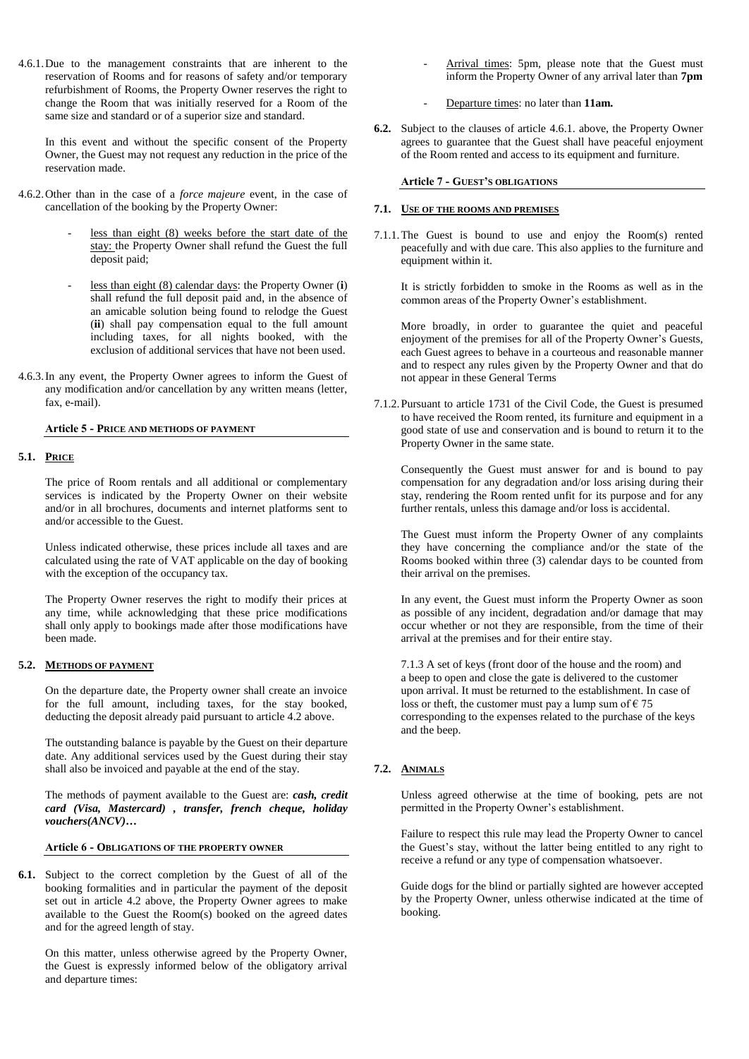4.6.1.Due to the management constraints that are inherent to the reservation of Rooms and for reasons of safety and/or temporary refurbishment of Rooms, the Property Owner reserves the right to change the Room that was initially reserved for a Room of the same size and standard or of a superior size and standard.

In this event and without the specific consent of the Property Owner, the Guest may not request any reduction in the price of the reservation made.

- 4.6.2.Other than in the case of a *force majeure* event, in the case of cancellation of the booking by the Property Owner:
	- less than eight (8) weeks before the start date of the stay: the Property Owner shall refund the Guest the full deposit paid;
	- less than eight (8) calendar days: the Property Owner (i) shall refund the full deposit paid and, in the absence of an amicable solution being found to relodge the Guest (**ii**) shall pay compensation equal to the full amount including taxes, for all nights booked, with the exclusion of additional services that have not been used.
- 4.6.3.In any event, the Property Owner agrees to inform the Guest of any modification and/or cancellation by any written means (letter, fax, e-mail).

#### **Article 5 - PRICE AND METHODS OF PAYMENT**

# **5.1. PRICE**

The price of Room rentals and all additional or complementary services is indicated by the Property Owner on their website and/or in all brochures, documents and internet platforms sent to and/or accessible to the Guest.

Unless indicated otherwise, these prices include all taxes and are calculated using the rate of VAT applicable on the day of booking with the exception of the occupancy tax.

The Property Owner reserves the right to modify their prices at any time, while acknowledging that these price modifications shall only apply to bookings made after those modifications have been made.

### **5.2. METHODS OF PAYMENT**

On the departure date, the Property owner shall create an invoice for the full amount, including taxes, for the stay booked, deducting the deposit already paid pursuant to article 4.2 above.

The outstanding balance is payable by the Guest on their departure date. Any additional services used by the Guest during their stay shall also be invoiced and payable at the end of the stay.

The methods of payment available to the Guest are: *cash, credit card (Visa, Mastercard) , transfer, french cheque, holiday vouchers(ANCV)***…**

#### **Article 6 - OBLIGATIONS OF THE PROPERTY OWNER**

**6.1.** Subject to the correct completion by the Guest of all of the booking formalities and in particular the payment of the deposit set out in article 4.2 above, the Property Owner agrees to make available to the Guest the Room(s) booked on the agreed dates and for the agreed length of stay.

On this matter, unless otherwise agreed by the Property Owner, the Guest is expressly informed below of the obligatory arrival and departure times:

- Arrival times: 5pm, please note that the Guest must inform the Property Owner of any arrival later than **7pm**
- Departure times: no later than **11am.**
- **6.2.** Subject to the clauses of article 4.6.1. above, the Property Owner agrees to guarantee that the Guest shall have peaceful enjoyment of the Room rented and access to its equipment and furniture.

# **Article 7 - GUEST'S OBLIGATIONS**

#### **7.1. USE OF THE ROOMS AND PREMISES**

7.1.1.The Guest is bound to use and enjoy the Room(s) rented peacefully and with due care. This also applies to the furniture and equipment within it.

It is strictly forbidden to smoke in the Rooms as well as in the common areas of the Property Owner's establishment.

More broadly, in order to guarantee the quiet and peaceful enjoyment of the premises for all of the Property Owner's Guests, each Guest agrees to behave in a courteous and reasonable manner and to respect any rules given by the Property Owner and that do not appear in these General Terms

7.1.2.Pursuant to article 1731 of the Civil Code, the Guest is presumed to have received the Room rented, its furniture and equipment in a good state of use and conservation and is bound to return it to the Property Owner in the same state.

Consequently the Guest must answer for and is bound to pay compensation for any degradation and/or loss arising during their stay, rendering the Room rented unfit for its purpose and for any further rentals, unless this damage and/or loss is accidental.

The Guest must inform the Property Owner of any complaints they have concerning the compliance and/or the state of the Rooms booked within three (3) calendar days to be counted from their arrival on the premises.

In any event, the Guest must inform the Property Owner as soon as possible of any incident, degradation and/or damage that may occur whether or not they are responsible, from the time of their arrival at the premises and for their entire stay.

7.1.3 A set of keys (front door of the house and the room) and a beep to open and close the gate is delivered to the customer upon arrival. It must be returned to the establishment. In case of loss or theft, the customer must pay a lump sum of  $\epsilon$  75 corresponding to the expenses related to the purchase of the keys and the beep.

# **7.2. ANIMALS**

Unless agreed otherwise at the time of booking, pets are not permitted in the Property Owner's establishment.

Failure to respect this rule may lead the Property Owner to cancel the Guest's stay, without the latter being entitled to any right to receive a refund or any type of compensation whatsoever.

Guide dogs for the blind or partially sighted are however accepted by the Property Owner, unless otherwise indicated at the time of booking.